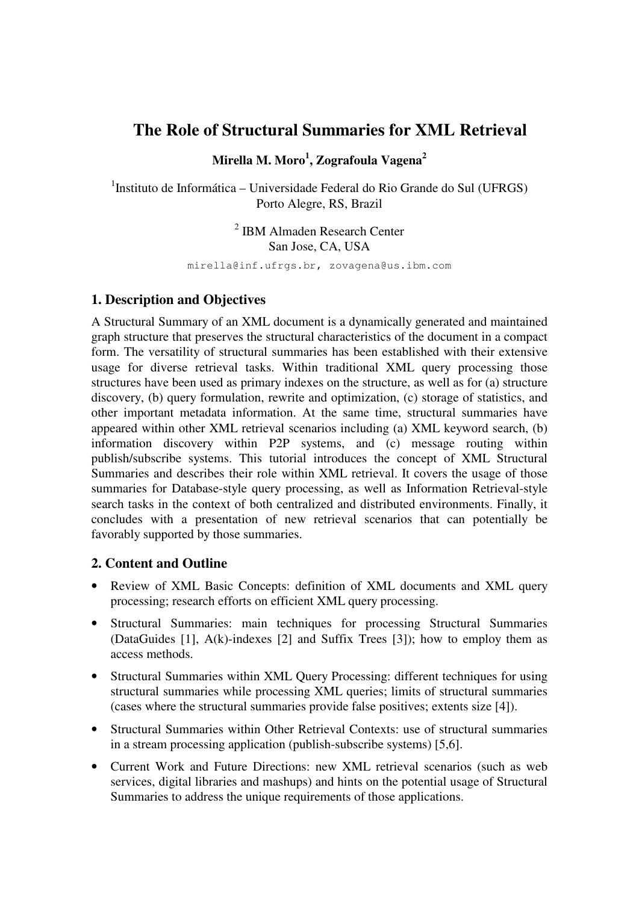# **The Role of Structural Summaries for XML Retrieval**

**Mirella M. Moro<sup>1</sup> , Zografoula Vagena<sup>2</sup>**

<sup>1</sup>Instituto de Informática – Universidade Federal do Rio Grande do Sul (UFRGS) Porto Alegre, RS, Brazil

> 2 IBM Almaden Research Center San Jose, CA, USA

mirella@inf.ufrgs.br, zovagena@us.ibm.com

### **1. Description and Objectives**

A Structural Summary of an XML document is a dynamically generated and maintained graph structure that preserves the structural characteristics of the document in a compact form. The versatility of structural summaries has been established with their extensive usage for diverse retrieval tasks. Within traditional XML query processing those structures have been used as primary indexes on the structure, as well as for (a) structure discovery, (b) query formulation, rewrite and optimization, (c) storage of statistics, and other important metadata information. At the same time, structural summaries have appeared within other XML retrieval scenarios including (a) XML keyword search, (b) information discovery within P2P systems, and (c) message routing within publish/subscribe systems. This tutorial introduces the concept of XML Structural Summaries and describes their role within XML retrieval. It covers the usage of those summaries for Database-style query processing, as well as Information Retrieval-style search tasks in the context of both centralized and distributed environments. Finally, it concludes with a presentation of new retrieval scenarios that can potentially be favorably supported by those summaries.

## **2. Content and Outline**

- Review of XML Basic Concepts: definition of XML documents and XML query processing; research efforts on efficient XML query processing.
- Structural Summaries: main techniques for processing Structural Summaries (DataGuides [1], A(k)-indexes [2] and Suffix Trees [3]); how to employ them as access methods.
- Structural Summaries within XML Query Processing: different techniques for using structural summaries while processing XML queries; limits of structural summaries (cases where the structural summaries provide false positives; extents size [4]).
- Structural Summaries within Other Retrieval Contexts: use of structural summaries in a stream processing application (publish-subscribe systems) [5,6].
- Current Work and Future Directions: new XML retrieval scenarios (such as web services, digital libraries and mashups) and hints on the potential usage of Structural Summaries to address the unique requirements of those applications.